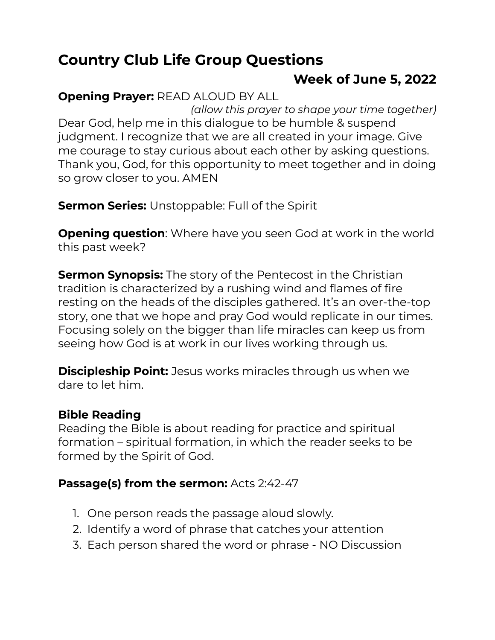# **Country Club Life Group Questions**

# **Week of June 5, 2022**

## **Opening Prayer:** READ ALOUD BY ALL

*(allow this prayer to shape your time together)* Dear God, help me in this dialogue to be humble & suspend judgment. I recognize that we are all created in your image. Give me courage to stay curious about each other by asking questions. Thank you, God, for this opportunity to meet together and in doing so grow closer to you. AMEN

**Sermon Series:** Unstoppable: Full of the Spirit

**Opening question**: Where have you seen God at work in the world this past week?

**Sermon Synopsis:** The story of the Pentecost in the Christian tradition is characterized by a rushing wind and flames of fire resting on the heads of the disciples gathered. It's an over-the-top story, one that we hope and pray God would replicate in our times. Focusing solely on the bigger than life miracles can keep us from seeing how God is at work in our lives working through us.

**Discipleship Point:** Jesus works miracles through us when we dare to let him.

#### **Bible Reading**

Reading the Bible is about reading for practice and spiritual formation – spiritual formation, in which the reader seeks to be formed by the Spirit of God.

#### **Passage(s) from the sermon:** Acts 2:42-47

- 1. One person reads the passage aloud slowly.
- 2. Identify a word of phrase that catches your attention
- 3. Each person shared the word or phrase NO Discussion